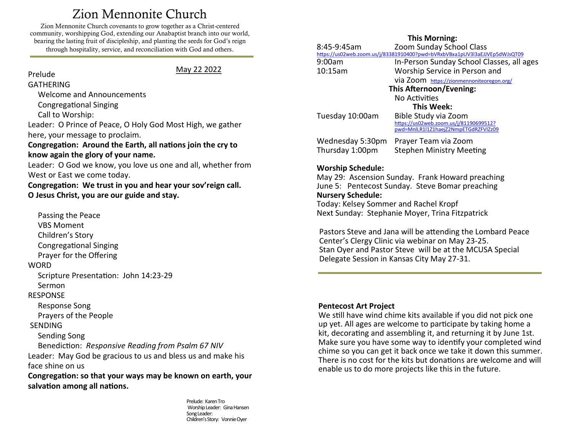# Zion Mennonite Church

<span id="page-0-0"></span>Zion Mennonite Church covenants to grow together as a Christ-centered community, worshipping God, extending our Anabaptist branch into our world, bearing the lasting fruit of discipleship, and planting the seeds for God's reign through hospitality, service, and reconciliation with God and others.

#### Prelude

May 22 2022

## GATHERING

Welcome and Announcements

Congregational Singing

Call to Worship:

Leader: O Prince of Peace, O Holy God Most High, we gather here, your message to proclaim.

**Congregation: Around the Earth, all nations join the cry to know again the glory of your name.**

Leader: O God we know, you love us one and all, whether from West or East we come today.

**Congregation: We trust in you and hear your sov'reign call. O Jesus Christ, you are our guide and stay.**

 Passing the Peace VBS Moment Children's Story Congregational Singing Prayer for the Offering **WORD** 

Scripture Presentation: John 14:23-29

Sermon

#### RESPONSE

Response Song

Prayers of the People

#### SENDING

Sending Song

Benediction: *Responsive Reading from Psalm 67 NIV* 

Leader: May God be gracious to us and bless us and make his face shine on us

**Congregation: so that your ways may be known on earth, your salvation among all nations.**

> Prelude: Karen Tro Worship Leader: Gina Hansen Song Leader: Children's Story: Vonnie Oyer

#### **This Morning:**

| 8:45-9:45am                                                                | <b>Zoom Sunday School Class</b>           |
|----------------------------------------------------------------------------|-------------------------------------------|
| https://us02web.zoom.us/j/83381910400?pwd=bVRxbVBxa1pUV3I3aEJJVEp5dWJsQT09 |                                           |
| 9:00am                                                                     | In-Person Sunday School Classes, all ages |
| 10:15am                                                                    | Worship Service in Person and             |
|                                                                            | Via Zoom https://zionmennoniteoregon.org/ |
| This Afternoon/Evening:                                                    |                                           |
|                                                                            | No Activities                             |
| This Week:                                                                 |                                           |
| Tuesday 10:00am                                                            | Bible Study via Zoom                      |
|                                                                            | https://us02web.zoom.us/j/81190699512?    |
|                                                                            | pwd=MnlLR1l1Z1haejZ2NmpETGdRZFVIZz09      |
| Wednesday 5:30pm                                                           | Prayer Team via Zoom                      |
| Thursday 1:00pm                                                            | <b>Stephen Ministry Meeting</b>           |
|                                                                            |                                           |
|                                                                            |                                           |

#### **Worship Schedule:**

May 29: Ascension Sunday. Frank Howard preaching June 5: Pentecost Sunday. Steve Bomar preaching **Nursery Schedule:** Today: Kelsey Sommer and Rachel Kropf Next Sunday: Stephanie Moyer, Trina Fitzpatrick

Pastors Steve and Jana will be attending the Lombard Peace Center's Clergy Clinic via webinar on May 23-25. Stan Oyer and Pastor Steve will be at the MCUSA Special Delegate Session in Kansas City May 27-31.

#### **Pentecost Art Project**

We still have wind chime kits available if you did not pick one up yet. All ages are welcome to participate by taking home a kit, decorating and assembling it, and returning it by June 1st. Make sure you have some way to identify your completed wind chime so you can get it back once we take it down this summer. There is no cost for the kits but donations are welcome and will enable us to do more projects like this in the future.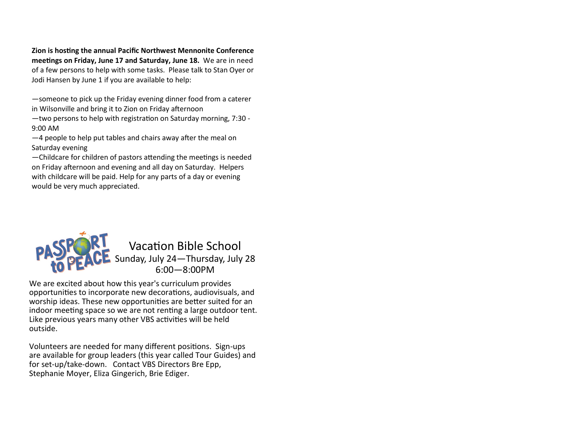**Zion is hosting the annual Pacific Northwest Mennonite Conference meetings on Friday, June 17 and Saturday, June 18.** We are in need of a few persons to help with some tasks. Please talk to Stan Oyer or Jodi Hansen by June 1 if you are available to help:

—someone to pick up the Friday evening dinner food from a caterer in Wilsonville and bring it to Zion on Friday afternoon

—two persons to help with registration on Saturday morning, 7:30 - 9:00 AM

—4 people to help put tables and chairs away after the meal on Saturday evening

—Childcare for children of pastors attending the meetings is needed on Friday afternoon and evening and all day on Saturday. Helpers with childcare will be paid. Help for any parts of a day or evening would be very much appreciated.



We are excited about how this year's curriculum provides opportunities to incorporate new decorations, audiovisuals, and worship ideas. These new opportunities are better suited for an indoor meeting space so we are not renting a large outdoor tent. Like previous years many other VBS activities will be held outside.

Volunteers are needed for many different positions. Sign-ups are available for group leaders (this year called Tour Guides) and for set-up/take-down. Contact VBS Directors Bre Epp, Stephanie Moyer, Eliza Gingerich, Brie Ediger.